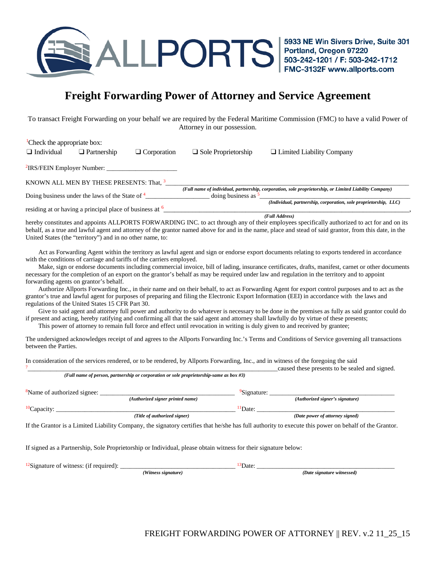

# **Freight Forwarding Power of Attorney and Service Agreement**

To transact Freight Forwarding on your behalf we are required by the Federal Maritime Commission (FMC) to have a valid Power of Attorney in our possession.

| <sup>1</sup> Check the appropriate box:                               |                    |                                  |                                                                                                                 |                                                                                                                                                                                                                                                                                                         |
|-----------------------------------------------------------------------|--------------------|----------------------------------|-----------------------------------------------------------------------------------------------------------------|---------------------------------------------------------------------------------------------------------------------------------------------------------------------------------------------------------------------------------------------------------------------------------------------------------|
| $\Box$ Individual                                                     | $\Box$ Partnership | $\Box$ Corporation               | $\Box$ Sole Proprietorship                                                                                      | $\Box$ Limited Liability Company                                                                                                                                                                                                                                                                        |
|                                                                       |                    |                                  |                                                                                                                 |                                                                                                                                                                                                                                                                                                         |
|                                                                       |                    |                                  |                                                                                                                 | KNOWN ALL MEN BY THESE PRESENTS: That, $\frac{3}{2}$ (Full name of individual, partnership, corporation, sole proprietorship, or Limited Liability Company)                                                                                                                                             |
|                                                                       |                    |                                  | Doing business under the laws of the State of $\frac{4}{1}$ doing business as $\frac{5}{5}$                     |                                                                                                                                                                                                                                                                                                         |
|                                                                       |                    |                                  |                                                                                                                 | (Individual, partnership, corporation, sole proprietorship, LLC)                                                                                                                                                                                                                                        |
|                                                                       |                    |                                  |                                                                                                                 | $\overline{(Full Address)}$                                                                                                                                                                                                                                                                             |
| United States (the "territory") and in no other name, to:             |                    |                                  |                                                                                                                 | hereby constitutes and appoints ALLPORTS FORWARDING INC. to act through any of their employees specifically authorized to act for and on its<br>behalf, as a true and lawful agent and attorney of the grantor named above for and in the name, place and stead of said grantor, from this date, in the |
|                                                                       |                    |                                  |                                                                                                                 | Act as Forwarding Agent within the territory as lawful agent and sign or endorse export documents relating to exports tendered in accordance                                                                                                                                                            |
| with the conditions of carriage and tariffs of the carriers employed. |                    |                                  |                                                                                                                 |                                                                                                                                                                                                                                                                                                         |
|                                                                       |                    |                                  |                                                                                                                 | Make, sign or endorse documents including commercial invoice, bill of lading, insurance certificates, drafts, manifest, carnet or other documents                                                                                                                                                       |
| forwarding agents on grantor's behalf.                                |                    |                                  |                                                                                                                 | necessary for the completion of an export on the grantor's behalf as may be required under law and regulation in the territory and to appoint                                                                                                                                                           |
|                                                                       |                    |                                  |                                                                                                                 | Authorize Allports Forwarding Inc., in their name and on their behalf, to act as Forwarding Agent for export control purposes and to act as the                                                                                                                                                         |
|                                                                       |                    |                                  |                                                                                                                 | grantor's true and lawful agent for purposes of preparing and filing the Electronic Export Information (EEI) in accordance with the laws and                                                                                                                                                            |
| regulations of the United States 15 CFR Part 30.                      |                    |                                  |                                                                                                                 |                                                                                                                                                                                                                                                                                                         |
|                                                                       |                    |                                  |                                                                                                                 | Give to said agent and attorney full power and authority to do whatever is necessary to be done in the premises as fully as said grantor could do                                                                                                                                                       |
|                                                                       |                    |                                  |                                                                                                                 | if present and acting, hereby ratifying and confirming all that the said agent and attorney shall lawfully do by virtue of these presents;<br>This power of attorney to remain full force and effect until revocation in writing is duly given to and received by grantee;                              |
| between the Parties.                                                  |                    |                                  |                                                                                                                 | The undersigned acknowledges receipt of and agrees to the Allports Forwarding Inc.'s Terms and Conditions of Service governing all transactions                                                                                                                                                         |
|                                                                       |                    |                                  |                                                                                                                 | In consideration of the services rendered, or to be rendered, by Allports Forwarding, Inc., and in witness of the foregoing the said<br>caused these presents to be sealed and signed.                                                                                                                  |
|                                                                       |                    |                                  | (Full name of person, partnership or corporation or sole proprietorship-same as box #3)                         |                                                                                                                                                                                                                                                                                                         |
|                                                                       |                    |                                  | $\frac{9}{9}$ Signature:                                                                                        |                                                                                                                                                                                                                                                                                                         |
|                                                                       |                    | (Authorized signer printed name) |                                                                                                                 | (Authorized signer's signature)                                                                                                                                                                                                                                                                         |
|                                                                       |                    |                                  |                                                                                                                 | <sup>11</sup> Date: <i>Date power of attorney signed</i> )                                                                                                                                                                                                                                              |
|                                                                       |                    | (Title of authorized signer)     |                                                                                                                 |                                                                                                                                                                                                                                                                                                         |
|                                                                       |                    |                                  |                                                                                                                 | If the Grantor is a Limited Liability Company, the signatory certifies that he/she has full authority to execute this power on behalf of the Grantor.                                                                                                                                                   |
|                                                                       |                    |                                  | If signed as a Partnership, Sole Proprietorship or Individual, please obtain witness for their signature below: |                                                                                                                                                                                                                                                                                                         |
| <sup>12</sup> Signature of witness: (if required): _______            |                    | (Witness signature)              |                                                                                                                 | $^{13}$ Date:                                                                                                                                                                                                                                                                                           |
|                                                                       |                    |                                  |                                                                                                                 | (Date signature witnessed)                                                                                                                                                                                                                                                                              |
|                                                                       |                    |                                  |                                                                                                                 |                                                                                                                                                                                                                                                                                                         |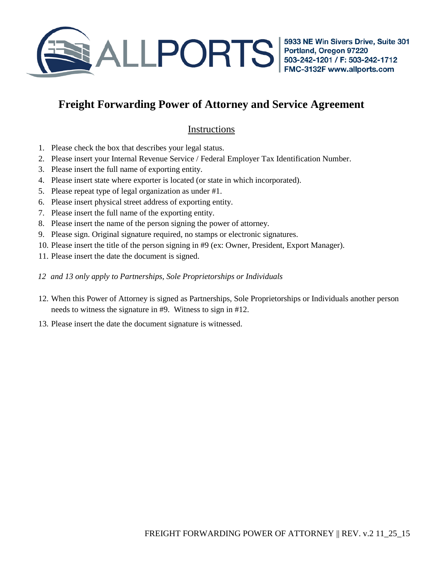

# **Freight Forwarding Power of Attorney and Service Agreement**

# Instructions

- 1. Please check the box that describes your legal status.
- 2. Please insert your Internal Revenue Service / Federal Employer Tax Identification Number.
- 3. Please insert the full name of exporting entity.
- 4. Please insert state where exporter is located (or state in which incorporated).
- 5. Please repeat type of legal organization as under #1.
- 6. Please insert physical street address of exporting entity.
- 7. Please insert the full name of the exporting entity.
- 8. Please insert the name of the person signing the power of attorney.
- 9. Please sign. Original signature required, no stamps or electronic signatures.
- 10. Please insert the title of the person signing in #9 (ex: Owner, President, Export Manager).
- 11. Please insert the date the document is signed.
- *12 and 13 only apply to Partnerships, Sole Proprietorships or Individuals*
- 12. When this Power of Attorney is signed as Partnerships, Sole Proprietorships or Individuals another person needs to witness the signature in #9. Witness to sign in #12.
- 13. Please insert the date the document signature is witnessed.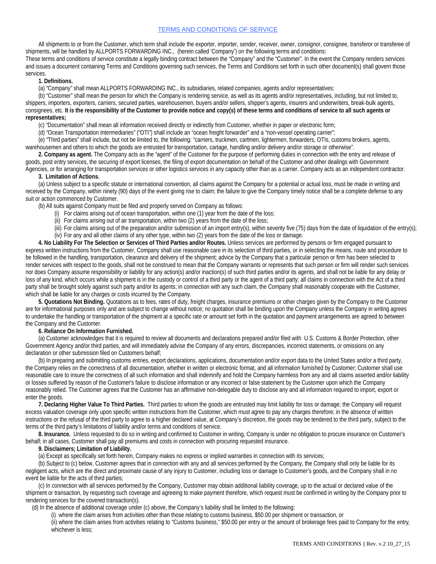All shipments to or from the Customer, which term shall include the exporter, importer, sender, receiver, owner, consignor, consignee, transferor or transferee of shipments, will be handled by ALLPORTS FORWARDING INC., (herein called 'Company') on the following terms and conditions:

These terms and conditions of service constitute a legally binding contract between the "Company" and the "Customer". In the event the Company renders services and issues a document containing Terms and Conditions governing such services, the Terms and Conditions set forth in such other document(s) shall govern those services.

### **1. Definitions.**

(a) "Company" shall mean ALLPORTS FORWARDING INC., its subsidiaries, related companies, agents and/or representatives;

(b) "Customer" shall mean the person for which the Company is rendering service, as well as its agents and/or representatives, including, but not limited to, shippers, importers, exporters, carriers, secured parties, warehousemen, buyers and/or sellers, shipper's agents, insurers and underwriters, break-bulk agents, consignees, etc. **It is the responsibility of the Customer to provide notice and copy(s) of these terms and conditions of service to all such agents or representatives;**

(c) "Documentation" shall mean all information received directly or indirectly from Customer, whether in paper or electronic form;

(d) "Ocean Transportation Intermediaries" ("OTI") shall include an "ocean freight forwarder" and a "non-vessel operating carrier";

(e) "Third parties" shall include, but not be limited to, the following: "carriers, truckmen, cartmen, lightermen, forwarders, OTIs, customs brokers, agents, warehousemen and others to which the goods are entrusted for transportation, cartage, handling and/or delivery and/or storage or otherwise".

**2. Company as agent.** The Company acts as the "agent" of the Customer for the purpose of performing duties in connection with the entry and release of goods, post entry services, the securing of export licenses, the filing of export documentation on behalf of the Customer and other dealings with Government Agencies, or for arranging for transportation services or other logistics services in any capacity other than as a carrier. Company acts as an independent contractor.

#### **3. Limitation of Actions.**

(a) Unless subject to a specific statute or international convention, all claims against the Company for a potential or actual loss, must be made in writing and received by the Company, within ninety (90) days of the event giving rise to claim; the failure to give the Company timely notice shall be a complete defense to any suit or action commenced by Customer.

(b) All suits against Company must be filed and properly served on Company as follows:

- (i) For claims arising out of ocean transportation, within one (1) year from the date of the loss;
- (ii) For claims arising out of air transportation, within two (2) years from the date of the loss;
- (iii) For claims arising out of the preparation and/or submission of an import entry(s), within seventy five (75) days from the date of liquidation of the entry(s); (iv) For any and all other claims of any other type, within two (2) years from the date of the loss or damage.

**4. No Liability For The Selection or Services of Third Parties and/or Routes.** Unless services are performed by persons or firm engaged pursuant to express written instructions from the Customer, Company shall use reasonable care in its selection of third parties, or in selecting the means, route and procedure to be followed in the handling, transportation, clearance and delivery of the shipment; advice by the Company that a particular person or firm has been selected to render services with respect to the goods, shall not be construed to mean that the Company warrants or represents that such person or firm will render such services nor does Company assume responsibility or liability for any action(s) and/or inaction(s) of such third parties and/or its agents, and shall not be liable for any delay or loss of any kind, which occurs while a shipment is in the custody or control of a third party or the agent of a third party; all claims in connection with the Act of a third party shall be brought solely against such party and/or its agents; in connection with any such claim, the Company shall reasonably cooperate with the Customer, which shall be liable for any charges or costs incurred by the Company.

**5. Quotations Not Binding.** Quotations as to fees, rates of duty, freight charges, insurance premiums or other charges given by the Company to the Customer are for informational purposes only and are subject to change without notice; no quotation shall be binding upon the Company unless the Company in writing agrees to undertake the handling or transportation of the shipment at a specific rate or amount set forth in the quotation and payment arrangements are agreed to between the Company and the Customer.

# **6. Reliance On Information Furnished.**

(a) Customer acknowledges that it is required to review all documents and declarations prepared and/or filed with U.S. Customs & Border Protection, other Government Agency and/or third parties, and will immediately advise the Company of any errors, discrepancies, incorrect statements, or omissions on any declaration or other submission filed on Customers behalf;

(b) In preparing and submitting customs entries, export declarations, applications, documentation and/or export data to the United States and/or a third party, the Company relies on the correctness of all documentation, whether in written or electronic format, and all information furnished by Customer; Customer shall use reasonable care to insure the correctness of all such information and shall indemnify and hold the Company harmless from any and all claims asserted and/or liability or losses suffered by reason of the Customer's failure to disclose information or any incorrect or false statement by the Customer upon which the Company reasonably relied. The Customer agrees that the Customer has an affirmative non-delegable duty to disclose any and all information required to import, export or enter the goods.

**7. Declaring Higher Value To Third Parties.** Third parties to whom the goods are entrusted may limit liability for loss or damage; the Company will request excess valuation coverage only upon specific written instructions from the Customer, which must agree to pay any charges therefore; in the absence of written instructions or the refusal of the third party to agree to a higher declared value, at Company's discretion, the goods may be tendered to the third party, subject to the terms of the third party's limitations of liability and/or terms and conditions of service.

**8. Insurance.** Unless requested to do so in writing and confirmed to Customer in writing, Company is under no obligation to procure insurance on Customer's behalf; in all cases, Customer shall pay all premiums and costs in connection with procuring requested insurance.

# **9. Disclaimers; Limitation of Liability.**

(a) Except as specifically set forth herein, Company makes no express or implied warranties in connection with its services;

(b) Subject to (c) below, Customer agrees that in connection with any and all services performed by the Company, the Company shall only be liable for its negligent acts, which are the direct and proximate cause of any injury to Customer, including loss or damage to Customer's goods, and the Company shall in no event be liable for the acts of third parties;

(c) In connection with all services performed by the Company, Customer may obtain additional liability coverage, up to the actual or declared value of the shipment or transaction, by requesting such coverage and agreeing to make payment therefore, which request must be confirmed in writing by the Company prior to rendering services for the covered transaction(s).

(d) In the absence of additional coverage under (c) above, the Company's liability shall be limited to the following:

(i) where the claim arises from activities other than those relating to customs business, \$50.00 per shipment or transaction, or

(ii) where the claim arises from activities relating to "Customs business," \$50.00 per entry or the amount of brokerage fees paid to Company for the entry, whichever is less;